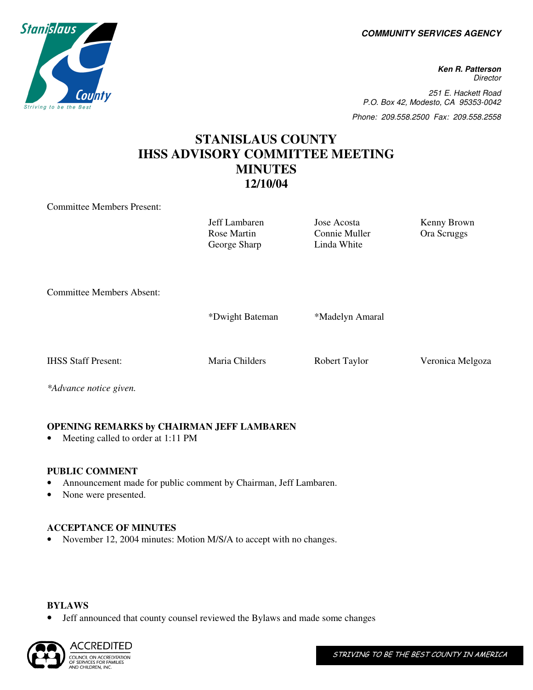**COMMUNITY SERVICES AGENCY** 

**P.O. Box Ken R. Patterson Director** 251 E. Hackett Road P.O. Box 42, Modesto, CA 95353-0042 Phone: 209.558.2500 Fax: 209.558.2558

# **STANISLAUS COUNTY IHSS ADVISORY COMMITTEE MEETING MINUTES 12/10/04**

Committee Members Present:

Jeff Lambaren Jose Acosta Kenny Brown Rose Martin George Sharp

Connie Muller Linda White

Ora Scruggs

Committee Members Absent:

\*Dwight Bateman \*Madelyn Amaral

IHSS Staff Present: Maria Childers Robert Taylor Veronica Melgoza

*\*Advance notice given.* 

# **OPENING REMARKS by CHAIRMAN JEFF LAMBAREN**

Meeting called to order at 1:11 PM

# **PUBLIC COMMENT**

- Announcement made for public comment by Chairman, Jeff Lambaren.
- None were presented.

# **ACCEPTANCE OF MINUTES**

• November 12, 2004 minutes: Motion M/S/A to accept with no changes.

#### **BYLAWS**

• Jeff announced that county counsel reviewed the Bylaws and made some changes



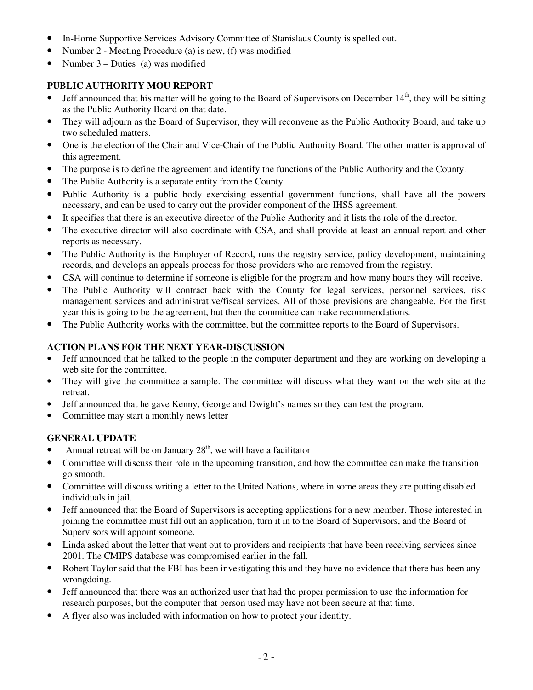- In-Home Supportive Services Advisory Committee of Stanislaus County is spelled out.
- Number 2 Meeting Procedure (a) is new, (f) was modified
- Number 3 Duties (a) was modified

### **PUBLIC AUTHORITY MOU REPORT**

- Jeff announced that his matter will be going to the Board of Supervisors on December  $14<sup>th</sup>$ , they will be sitting as the Public Authority Board on that date.
- They will adjourn as the Board of Supervisor, they will reconvene as the Public Authority Board, and take up two scheduled matters.
- One is the election of the Chair and Vice-Chair of the Public Authority Board. The other matter is approval of this agreement.
- The purpose is to define the agreement and identify the functions of the Public Authority and the County.
- The Public Authority is a separate entity from the County.
- Public Authority is a public body exercising essential government functions, shall have all the powers necessary, and can be used to carry out the provider component of the IHSS agreement.
- It specifies that there is an executive director of the Public Authority and it lists the role of the director.
- The executive director will also coordinate with CSA, and shall provide at least an annual report and other reports as necessary.
- The Public Authority is the Employer of Record, runs the registry service, policy development, maintaining records, and develops an appeals process for those providers who are removed from the registry.
- CSA will continue to determine if someone is eligible for the program and how many hours they will receive.
- The Public Authority will contract back with the County for legal services, personnel services, risk management services and administrative/fiscal services. All of those previsions are changeable. For the first year this is going to be the agreement, but then the committee can make recommendations.
- The Public Authority works with the committee, but the committee reports to the Board of Supervisors.

#### **ACTION PLANS FOR THE NEXT YEAR-DISCUSSION**

- Jeff announced that he talked to the people in the computer department and they are working on developing a web site for the committee.
- They will give the committee a sample. The committee will discuss what they want on the web site at the retreat.
- Jeff announced that he gave Kenny, George and Dwight's names so they can test the program.
- Committee may start a monthly news letter

#### **GENERAL UPDATE**

- Annual retreat will be on January  $28<sup>th</sup>$ , we will have a facilitator
- Committee will discuss their role in the upcoming transition, and how the committee can make the transition go smooth.
- Committee will discuss writing a letter to the United Nations, where in some areas they are putting disabled individuals in jail.
- Jeff announced that the Board of Supervisors is accepting applications for a new member. Those interested in joining the committee must fill out an application, turn it in to the Board of Supervisors, and the Board of Supervisors will appoint someone.
- Linda asked about the letter that went out to providers and recipients that have been receiving services since 2001. The CMIPS database was compromised earlier in the fall.
- Robert Taylor said that the FBI has been investigating this and they have no evidence that there has been any wrongdoing.
- Jeff announced that there was an authorized user that had the proper permission to use the information for research purposes, but the computer that person used may have not been secure at that time.
- A flyer also was included with information on how to protect your identity.